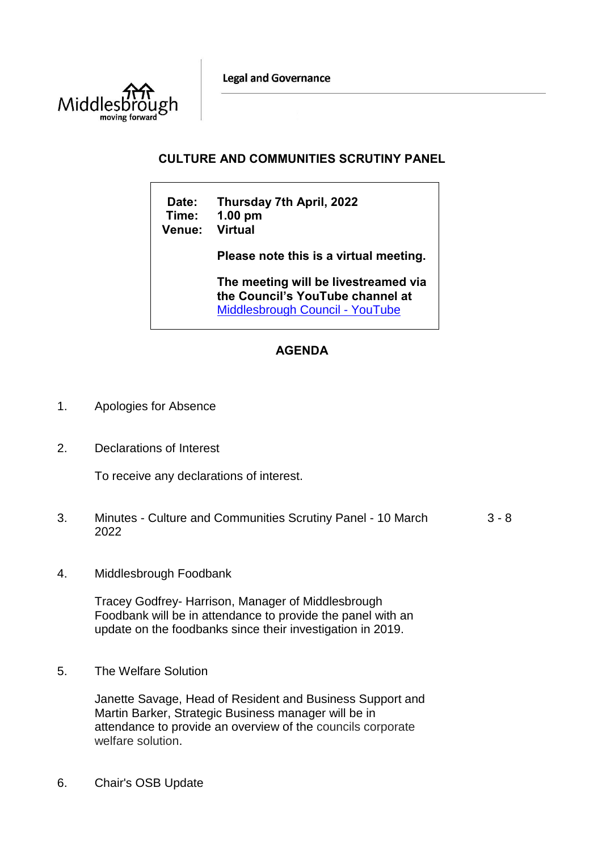**Legal and Governance** 



## **CULTURE AND COMMUNITIES SCRUTINY PANEL**

| Date:<br>Time:<br><b>Venue:</b> | Thursday 7th April, 2022<br>$1.00$ pm<br><b>Virtual</b>                                                            |
|---------------------------------|--------------------------------------------------------------------------------------------------------------------|
|                                 | Please note this is a virtual meeting.                                                                             |
|                                 | The meeting will be livestreamed via<br>the Council's YouTube channel at<br><b>Middlesbrough Council - YouTube</b> |

## **AGENDA**

- 1. Apologies for Absence
- 2. Declarations of Interest

To receive any declarations of interest.

- 3. Minutes Culture and Communities Scrutiny Panel 10 March 2022 3 - 8
- 4. Middlesbrough Foodbank

Tracey Godfrey- Harrison, Manager of Middlesbrough Foodbank will be in attendance to provide the panel with an update on the foodbanks since their investigation in 2019.

5. The Welfare Solution

Janette Savage, Head of Resident and Business Support and Martin Barker, Strategic Business manager will be in attendance to provide an overview of the councils corporate welfare solution.

6. Chair's OSB Update